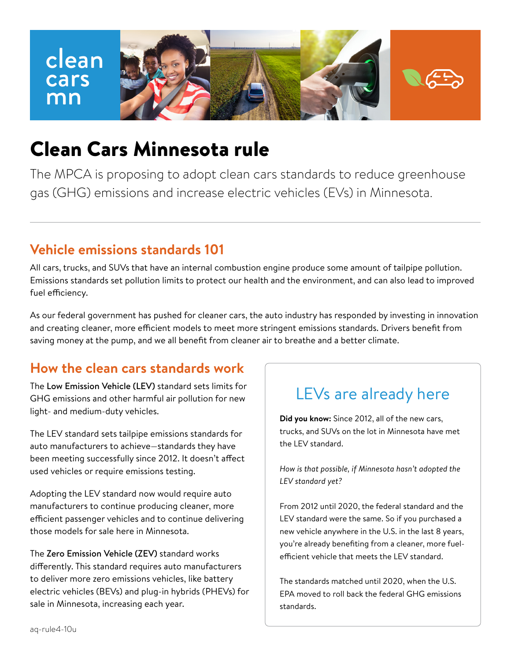

# Clean Cars Minnesota rule

The MPCA is proposing to adopt clean cars standards to reduce greenhouse gas (GHG) emissions and increase electric vehicles (EVs) in Minnesota.

### **Vehicle emissions standards 101**

All cars, trucks, and SUVs that have an internal combustion engine produce some amount of tailpipe pollution. Emissions standards set pollution limits to protect our health and the environment, and can also lead to improved fuel efficiency.

As our federal government has pushed for cleaner cars, the auto industry has responded by investing in innovation and creating cleaner, more efficient models to meet more stringent emissions standards. Drivers benefit from saving money at the pump, and we all benefit from cleaner air to breathe and a better climate.

### **How the clean cars standards work**

The Low Emission Vehicle (LEV) standard sets limits for GHG emissions and other harmful air pollution for new light- and medium-duty vehicles.

The LEV standard sets tailpipe emissions standards for auto manufacturers to achieve—standards they have been meeting successfully since 2012. It doesn't affect used vehicles or require emissions testing.

Adopting the LEV standard now would require auto manufacturers to continue producing cleaner, more efficient passenger vehicles and to continue delivering those models for sale here in Minnesota.

The Zero Emission Vehicle (ZEV) standard works differently. This standard requires auto manufacturers to deliver more zero emissions vehicles, like battery electric vehicles (BEVs) and plug-in hybrids (PHEVs) for sale in Minnesota, increasing each year.

## LEVs are already here

**Did you know:** Since 2012, all of the new cars, trucks, and SUVs on the lot in Minnesota have met the LEV standard.

*How is that possible, if Minnesota hasn't adopted the LEV standard yet?*

From 2012 until 2020, the federal standard and the LEV standard were the same. So if you purchased a new vehicle anywhere in the U.S. in the last 8 years, you're already benefiting from a cleaner, more fuelefficient vehicle that meets the LEV standard.

The standards matched until 2020, when the U.S. EPA moved to roll back the federal GHG emissions standards.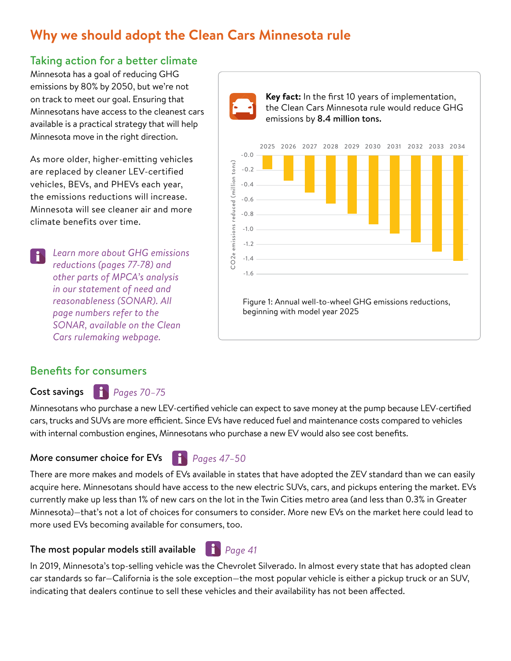## **Why we should adopt the Clean Cars Minnesota rule**

### Taking action for a better climate

Minnesota has a goal of reducing GHG emissions by 80% by 2050, but we're not on track to meet our goal. Ensuring that Minnesotans have access to the cleanest cars available is a practical strategy that will help Minnesota move in the right direction.

As more older, higher-emitting vehicles are replaced by cleaner LEV-certified vehicles, BEVs, and PHEVs each year, the emissions reductions will increase. Minnesota will see cleaner air and more climate benefits over time.

*Learn more about GHG emissions*   $\mathbf{f}$ *reductions (pages 77-78) and other parts of MPCA's analysis in our statement of need and reasonableness (SONAR). All page numbers refer to the SONAR, available on the Clean Cars rulemaking webpage.*





### Benefits for consumers

#### Cost savings *Pages 70–75*

Minnesotans who purchase a new LEV-certified vehicle can expect to save money at the pump because LEV-certified cars, trucks and SUVs are more efficient. Since EVs have reduced fuel and maintenance costs compared to vehicles with internal combustion engines, Minnesotans who purchase a new EV would also see cost benefits.

#### More consumer choice for EVs

*Pages 47–50*

There are more makes and models of EVs available in states that have adopted the ZEV standard than we can easily acquire here. Minnesotans should have access to the new electric SUVs, cars, and pickups entering the market. EVs currently make up less than 1% of new cars on the lot in the Twin Cities metro area (and less than 0.3% in Greater Minnesota)—that's not a lot of choices for consumers to consider. More new EVs on the market here could lead to more used EVs becoming available for consumers, too.

#### The most popular models still available

In 2019, Minnesota's top-selling vehicle was the Chevrolet Silverado. In almost every state that has adopted clean car standards so far—California is the sole exception—the most popular vehicle is either a pickup truck or an SUV, indicating that dealers continue to sell these vehicles and their availability has not been affected.

*Page 41*